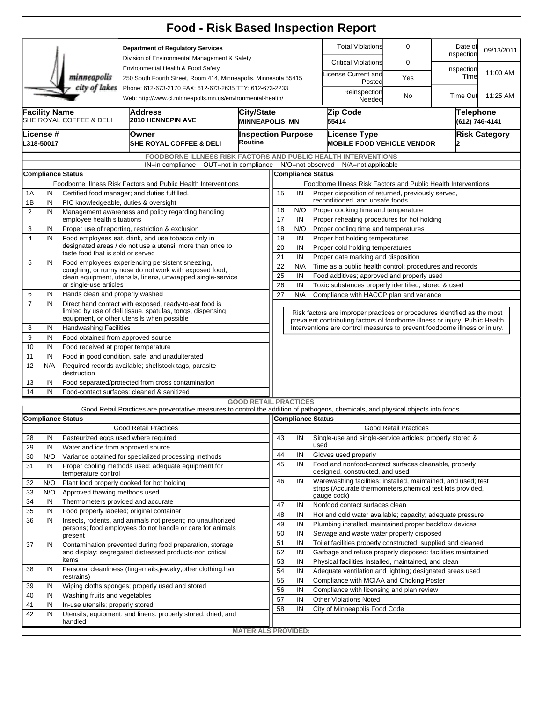## **Food - Risk Based Inspection Report**

| <b>Department of Regulatory Services</b><br>Division of Environmental Management & Safety<br>Environmental Health & Food Safety<br>minneapolis<br>250 South Fourth Street, Room 414, Minneapolis, Minnesota 55415 |                                                                                                                                       |                                                                                                                                                                    |                                                                                                                                   |                                                      |                              |                                                                                                  |                                                                                                                                                          |                                                                | <b>Total Violations</b>                                                                                                       | 0                            | Date of<br>Inspection              | 09/13/2011 |  |  |  |  |
|-------------------------------------------------------------------------------------------------------------------------------------------------------------------------------------------------------------------|---------------------------------------------------------------------------------------------------------------------------------------|--------------------------------------------------------------------------------------------------------------------------------------------------------------------|-----------------------------------------------------------------------------------------------------------------------------------|------------------------------------------------------|------------------------------|--------------------------------------------------------------------------------------------------|----------------------------------------------------------------------------------------------------------------------------------------------------------|----------------------------------------------------------------|-------------------------------------------------------------------------------------------------------------------------------|------------------------------|------------------------------------|------------|--|--|--|--|
|                                                                                                                                                                                                                   |                                                                                                                                       |                                                                                                                                                                    |                                                                                                                                   |                                                      |                              |                                                                                                  |                                                                                                                                                          |                                                                | <b>Critical Violations</b>                                                                                                    | 0                            |                                    |            |  |  |  |  |
|                                                                                                                                                                                                                   |                                                                                                                                       |                                                                                                                                                                    |                                                                                                                                   |                                                      |                              |                                                                                                  |                                                                                                                                                          |                                                                | icense Current and                                                                                                            | Yes                          | Inspection<br>Time                 | 11:00 AM   |  |  |  |  |
| city of lakes<br>Phone: 612-673-2170 FAX: 612-673-2635 TTY: 612-673-2233                                                                                                                                          |                                                                                                                                       |                                                                                                                                                                    |                                                                                                                                   |                                                      |                              |                                                                                                  |                                                                                                                                                          |                                                                | Posted                                                                                                                        |                              |                                    |            |  |  |  |  |
| Web: http://www.ci.minneapolis.mn.us/environmental-health/                                                                                                                                                        |                                                                                                                                       |                                                                                                                                                                    |                                                                                                                                   |                                                      |                              |                                                                                                  |                                                                                                                                                          |                                                                | Reinspection<br>Needed                                                                                                        | No.                          | <b>Time Out</b>                    | 11:25 AM   |  |  |  |  |
|                                                                                                                                                                                                                   | <b>Facility Name</b><br><b>City/State</b><br><b>Address</b><br>SHE ROYAL COFFEE & DELI<br>2010 HENNEPIN AVE<br><b>MINNEAPOLIS, MN</b> |                                                                                                                                                                    |                                                                                                                                   |                                                      |                              |                                                                                                  |                                                                                                                                                          |                                                                | Zip Code<br>55414                                                                                                             |                              | <b>Telephone</b><br>(612) 746-4141 |            |  |  |  |  |
| License #                                                                                                                                                                                                         |                                                                                                                                       |                                                                                                                                                                    |                                                                                                                                   |                                                      |                              | <b>Inspection Purpose</b>                                                                        |                                                                                                                                                          |                                                                | License Type                                                                                                                  | <b>Risk Category</b>         |                                    |            |  |  |  |  |
| Owner<br>Routine<br>L318-50017<br><b>SHE ROYAL COFFEE &amp; DELI</b>                                                                                                                                              |                                                                                                                                       |                                                                                                                                                                    |                                                                                                                                   |                                                      |                              |                                                                                                  |                                                                                                                                                          |                                                                | <b>MOBILE FOOD VEHICLE VENDOR</b>                                                                                             |                              |                                    |            |  |  |  |  |
|                                                                                                                                                                                                                   |                                                                                                                                       |                                                                                                                                                                    |                                                                                                                                   |                                                      |                              |                                                                                                  |                                                                                                                                                          |                                                                |                                                                                                                               |                              |                                    |            |  |  |  |  |
| <b>FOODBORNE ILLNESS RISK FACTORS AND PUBLIC HEALTH INTERVENTIONS</b><br>IN=in compliance OUT=not in compliance N/O=not observed                                                                                  |                                                                                                                                       |                                                                                                                                                                    |                                                                                                                                   |                                                      |                              |                                                                                                  |                                                                                                                                                          | N/A=not applicable                                             |                                                                                                                               |                              |                                    |            |  |  |  |  |
| <b>Compliance Status</b>                                                                                                                                                                                          |                                                                                                                                       |                                                                                                                                                                    |                                                                                                                                   |                                                      |                              |                                                                                                  | <b>Compliance Status</b>                                                                                                                                 |                                                                |                                                                                                                               |                              |                                    |            |  |  |  |  |
|                                                                                                                                                                                                                   | Foodborne Illness Risk Factors and Public Health Interventions                                                                        |                                                                                                                                                                    |                                                                                                                                   |                                                      |                              |                                                                                                  |                                                                                                                                                          | Foodborne Illness Risk Factors and Public Health Interventions |                                                                                                                               |                              |                                    |            |  |  |  |  |
| 1A                                                                                                                                                                                                                | IN                                                                                                                                    | Certified food manager; and duties fulfilled.                                                                                                                      |                                                                                                                                   |                                                      |                              |                                                                                                  | 15<br>Proper disposition of returned, previously served,<br>IN                                                                                           |                                                                |                                                                                                                               |                              |                                    |            |  |  |  |  |
| 1B                                                                                                                                                                                                                | IN                                                                                                                                    | PIC knowledgeable, duties & oversight                                                                                                                              |                                                                                                                                   |                                                      |                              |                                                                                                  | reconditioned, and unsafe foods                                                                                                                          |                                                                |                                                                                                                               |                              |                                    |            |  |  |  |  |
| $\overline{2}$                                                                                                                                                                                                    | Management awareness and policy regarding handling<br>IN                                                                              |                                                                                                                                                                    |                                                                                                                                   |                                                      |                              | Proper cooking time and temperature<br>16<br>N/O                                                 |                                                                                                                                                          |                                                                |                                                                                                                               |                              |                                    |            |  |  |  |  |
|                                                                                                                                                                                                                   | employee health situations<br>Proper use of reporting, restriction & exclusion                                                        |                                                                                                                                                                    |                                                                                                                                   |                                                      |                              |                                                                                                  | 17<br>IN<br>Proper reheating procedures for hot holding                                                                                                  |                                                                |                                                                                                                               |                              |                                    |            |  |  |  |  |
| 3<br>$\overline{4}$                                                                                                                                                                                               | IN<br>IN                                                                                                                              |                                                                                                                                                                    | Food employees eat, drink, and use tobacco only in                                                                                |                                                      |                              | 18<br>N/O<br>Proper cooling time and temperatures<br>19<br>IN<br>Proper hot holding temperatures |                                                                                                                                                          |                                                                |                                                                                                                               |                              |                                    |            |  |  |  |  |
|                                                                                                                                                                                                                   |                                                                                                                                       |                                                                                                                                                                    | designated areas / do not use a utensil more than once to                                                                         |                                                      |                              |                                                                                                  | 20<br>IN<br>Proper cold holding temperatures                                                                                                             |                                                                |                                                                                                                               |                              |                                    |            |  |  |  |  |
|                                                                                                                                                                                                                   |                                                                                                                                       | taste food that is sold or served                                                                                                                                  |                                                                                                                                   |                                                      |                              |                                                                                                  | 21<br>IN<br>Proper date marking and disposition                                                                                                          |                                                                |                                                                                                                               |                              |                                    |            |  |  |  |  |
| 5                                                                                                                                                                                                                 | IN                                                                                                                                    |                                                                                                                                                                    | Food employees experiencing persistent sneezing,                                                                                  |                                                      |                              | 22<br>N/A<br>Time as a public health control: procedures and records                             |                                                                                                                                                          |                                                                |                                                                                                                               |                              |                                    |            |  |  |  |  |
|                                                                                                                                                                                                                   |                                                                                                                                       |                                                                                                                                                                    | coughing, or runny nose do not work with exposed food,<br>clean equipment, utensils, linens, unwrapped single-service             |                                                      |                              | 25<br>IN<br>Food additives; approved and properly used                                           |                                                                                                                                                          |                                                                |                                                                                                                               |                              |                                    |            |  |  |  |  |
|                                                                                                                                                                                                                   | or single-use articles                                                                                                                |                                                                                                                                                                    |                                                                                                                                   |                                                      |                              |                                                                                                  | 26<br>IN<br>Toxic substances properly identified, stored & used                                                                                          |                                                                |                                                                                                                               |                              |                                    |            |  |  |  |  |
| 6                                                                                                                                                                                                                 | IN                                                                                                                                    | Hands clean and properly washed                                                                                                                                    |                                                                                                                                   | 27<br>N/A<br>Compliance with HACCP plan and variance |                              |                                                                                                  |                                                                                                                                                          |                                                                |                                                                                                                               |                              |                                    |            |  |  |  |  |
| $\overline{7}$                                                                                                                                                                                                    | IN                                                                                                                                    | Direct hand contact with exposed, ready-to-eat food is<br>limited by use of deli tissue, spatulas, tongs, dispensing<br>equipment, or other utensils when possible |                                                                                                                                   |                                                      |                              |                                                                                                  |                                                                                                                                                          |                                                                |                                                                                                                               |                              |                                    |            |  |  |  |  |
|                                                                                                                                                                                                                   |                                                                                                                                       |                                                                                                                                                                    |                                                                                                                                   |                                                      |                              |                                                                                                  | Risk factors are improper practices or procedures identified as the most<br>prevalent contributing factors of foodborne illness or injury. Public Health |                                                                |                                                                                                                               |                              |                                    |            |  |  |  |  |
| 8                                                                                                                                                                                                                 | IN                                                                                                                                    | <b>Handwashing Facilities</b>                                                                                                                                      |                                                                                                                                   |                                                      |                              |                                                                                                  |                                                                                                                                                          |                                                                | Interventions are control measures to prevent foodborne illness or injury.                                                    |                              |                                    |            |  |  |  |  |
| 9                                                                                                                                                                                                                 | IN                                                                                                                                    | Food obtained from approved source                                                                                                                                 |                                                                                                                                   |                                                      |                              |                                                                                                  |                                                                                                                                                          |                                                                |                                                                                                                               |                              |                                    |            |  |  |  |  |
| 10                                                                                                                                                                                                                | IN                                                                                                                                    | Food received at proper temperature                                                                                                                                |                                                                                                                                   |                                                      |                              |                                                                                                  |                                                                                                                                                          |                                                                |                                                                                                                               |                              |                                    |            |  |  |  |  |
| 11                                                                                                                                                                                                                | IN                                                                                                                                    | Food in good condition, safe, and unadulterated                                                                                                                    |                                                                                                                                   |                                                      |                              |                                                                                                  |                                                                                                                                                          |                                                                |                                                                                                                               |                              |                                    |            |  |  |  |  |
| 12                                                                                                                                                                                                                | N/A                                                                                                                                   | Required records available; shellstock tags, parasite<br>destruction                                                                                               |                                                                                                                                   |                                                      |                              |                                                                                                  |                                                                                                                                                          |                                                                |                                                                                                                               |                              |                                    |            |  |  |  |  |
| 13                                                                                                                                                                                                                | IN                                                                                                                                    | Food separated/protected from cross contamination                                                                                                                  |                                                                                                                                   |                                                      |                              |                                                                                                  |                                                                                                                                                          |                                                                |                                                                                                                               |                              |                                    |            |  |  |  |  |
| 14                                                                                                                                                                                                                | IN                                                                                                                                    |                                                                                                                                                                    | Food-contact surfaces: cleaned & sanitized                                                                                        |                                                      |                              |                                                                                                  |                                                                                                                                                          |                                                                |                                                                                                                               |                              |                                    |            |  |  |  |  |
|                                                                                                                                                                                                                   |                                                                                                                                       |                                                                                                                                                                    | Good Retail Practices are preventative measures to control the addition of pathogens, chemicals, and physical objects into foods. |                                                      | <b>GOOD RETAIL PRACTICES</b> |                                                                                                  |                                                                                                                                                          |                                                                |                                                                                                                               |                              |                                    |            |  |  |  |  |
|                                                                                                                                                                                                                   |                                                                                                                                       | <b>Compliance Status</b>                                                                                                                                           |                                                                                                                                   |                                                      |                              | <b>Compliance Status</b>                                                                         |                                                                                                                                                          |                                                                |                                                                                                                               |                              |                                    |            |  |  |  |  |
|                                                                                                                                                                                                                   | <b>Good Retail Practices</b>                                                                                                          |                                                                                                                                                                    |                                                                                                                                   |                                                      |                              |                                                                                                  |                                                                                                                                                          |                                                                |                                                                                                                               | <b>Good Retail Practices</b> |                                    |            |  |  |  |  |
| 28                                                                                                                                                                                                                | $\overline{N}$                                                                                                                        | Pasteurized eggs used where required                                                                                                                               |                                                                                                                                   |                                                      | 43                           |                                                                                                  |                                                                                                                                                          |                                                                | IN Single-use and single-service articles; properly stored &                                                                  |                              |                                    |            |  |  |  |  |
| 29                                                                                                                                                                                                                | IN                                                                                                                                    | Water and ice from approved source                                                                                                                                 |                                                                                                                                   |                                                      |                              |                                                                                                  |                                                                                                                                                          | used                                                           |                                                                                                                               |                              |                                    |            |  |  |  |  |
| 30                                                                                                                                                                                                                | N/O                                                                                                                                   | Variance obtained for specialized processing methods                                                                                                               |                                                                                                                                   |                                                      |                              | 44                                                                                               | IN                                                                                                                                                       |                                                                | Gloves used properly                                                                                                          |                              |                                    |            |  |  |  |  |
| 31                                                                                                                                                                                                                | IN                                                                                                                                    | Proper cooling methods used; adequate equipment for<br>temperature control                                                                                         |                                                                                                                                   |                                                      |                              | 45                                                                                               | IN                                                                                                                                                       |                                                                | Food and nonfood-contact surfaces cleanable, properly<br>designed, constructed, and used                                      |                              |                                    |            |  |  |  |  |
| 32                                                                                                                                                                                                                | N/O                                                                                                                                   |                                                                                                                                                                    | Plant food properly cooked for hot holding                                                                                        |                                                      | 46                           |                                                                                                  | IN                                                                                                                                                       |                                                                | Warewashing facilities: installed, maintained, and used; test<br>strips. (Accurate thermometers, chemical test kits provided, |                              |                                    |            |  |  |  |  |
| 33                                                                                                                                                                                                                | N/O                                                                                                                                   | Approved thawing methods used                                                                                                                                      |                                                                                                                                   |                                                      |                              |                                                                                                  |                                                                                                                                                          |                                                                | gauge cock)                                                                                                                   |                              |                                    |            |  |  |  |  |
| 34                                                                                                                                                                                                                | IN                                                                                                                                    | Thermometers provided and accurate                                                                                                                                 |                                                                                                                                   |                                                      | 47                           |                                                                                                  | IN                                                                                                                                                       |                                                                | Nonfood contact surfaces clean                                                                                                |                              |                                    |            |  |  |  |  |
| 35                                                                                                                                                                                                                | IN                                                                                                                                    |                                                                                                                                                                    | Food properly labeled; original container                                                                                         |                                                      | 48                           |                                                                                                  | IN                                                                                                                                                       |                                                                | Hot and cold water available; capacity; adequate pressure                                                                     |                              |                                    |            |  |  |  |  |
| 36                                                                                                                                                                                                                | IN                                                                                                                                    | Insects, rodents, and animals not present; no unauthorized                                                                                                         |                                                                                                                                   |                                                      |                              | 49                                                                                               | IN                                                                                                                                                       |                                                                | Plumbing installed, maintained, proper backflow devices                                                                       |                              |                                    |            |  |  |  |  |
|                                                                                                                                                                                                                   |                                                                                                                                       | persons; food employees do not handle or care for animals<br>present                                                                                               |                                                                                                                                   |                                                      |                              | 50<br>IN<br>Sewage and waste water properly disposed                                             |                                                                                                                                                          |                                                                |                                                                                                                               |                              |                                    |            |  |  |  |  |
| 37                                                                                                                                                                                                                | IN                                                                                                                                    | Contamination prevented during food preparation, storage                                                                                                           |                                                                                                                                   |                                                      |                              | 51                                                                                               | IN                                                                                                                                                       |                                                                | Toilet facilities properly constructed, supplied and cleaned                                                                  |                              |                                    |            |  |  |  |  |
|                                                                                                                                                                                                                   |                                                                                                                                       | and display; segregated distressed products-non critical                                                                                                           |                                                                                                                                   |                                                      | 52                           |                                                                                                  | IN                                                                                                                                                       |                                                                | Garbage and refuse properly disposed: facilities maintained                                                                   |                              |                                    |            |  |  |  |  |
|                                                                                                                                                                                                                   |                                                                                                                                       | items                                                                                                                                                              |                                                                                                                                   | 53<br>54                                             |                              | IN                                                                                               |                                                                                                                                                          | Physical facilities installed, maintained, and clean           |                                                                                                                               |                              |                                    |            |  |  |  |  |
| 38                                                                                                                                                                                                                | IN                                                                                                                                    | Personal cleanliness (fingernails, jewelry, other clothing, hair<br>restrains)                                                                                     |                                                                                                                                   |                                                      |                              |                                                                                                  | IN                                                                                                                                                       |                                                                | Adequate ventilation and lighting; designated areas used                                                                      |                              |                                    |            |  |  |  |  |
| 39                                                                                                                                                                                                                | Wiping cloths, sponges; properly used and stored<br>IN                                                                                |                                                                                                                                                                    |                                                                                                                                   |                                                      |                              | 55                                                                                               | IN                                                                                                                                                       |                                                                | Compliance with MCIAA and Choking Poster                                                                                      |                              |                                    |            |  |  |  |  |
| 40                                                                                                                                                                                                                | IN                                                                                                                                    | Washing fruits and vegetables                                                                                                                                      |                                                                                                                                   |                                                      | 56                           |                                                                                                  | IN                                                                                                                                                       |                                                                | Compliance with licensing and plan review                                                                                     |                              |                                    |            |  |  |  |  |
| 41                                                                                                                                                                                                                | IN                                                                                                                                    | In-use utensils; properly stored                                                                                                                                   |                                                                                                                                   |                                                      | 57                           |                                                                                                  | IN                                                                                                                                                       |                                                                | <b>Other Violations Noted</b>                                                                                                 |                              |                                    |            |  |  |  |  |
| 42                                                                                                                                                                                                                | IN                                                                                                                                    |                                                                                                                                                                    | Utensils, equipment, and linens: properly stored, dried, and                                                                      |                                                      | 58                           |                                                                                                  | IN                                                                                                                                                       |                                                                | City of Minneapolis Food Code                                                                                                 |                              |                                    |            |  |  |  |  |
|                                                                                                                                                                                                                   |                                                                                                                                       | handled                                                                                                                                                            |                                                                                                                                   |                                                      |                              |                                                                                                  |                                                                                                                                                          |                                                                |                                                                                                                               |                              |                                    |            |  |  |  |  |
|                                                                                                                                                                                                                   |                                                                                                                                       |                                                                                                                                                                    |                                                                                                                                   |                                                      | <b>MATERIALS PROVIDED:</b>   |                                                                                                  |                                                                                                                                                          |                                                                |                                                                                                                               |                              |                                    |            |  |  |  |  |